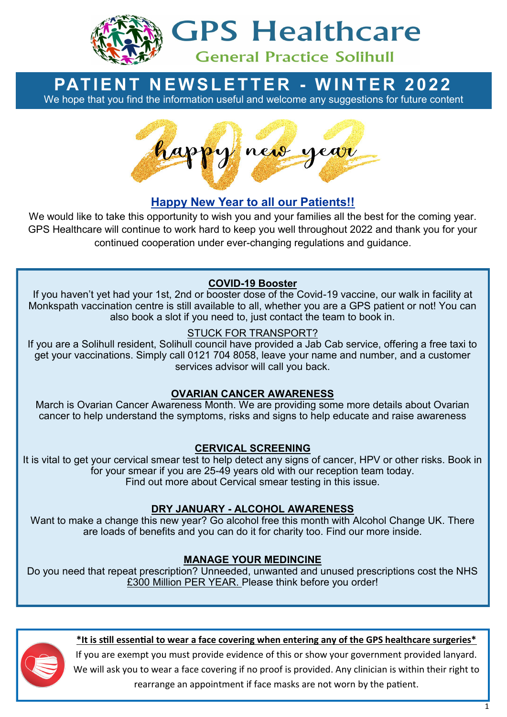

# **GPS Healthcare**

# **General Practice Solihull**

# **PATIENT NEWSLETTER - WINTER 2022**

We hope that you find the information useful and welcome any suggestions for future content



# **Happy New Year to all our Patients!!**

We would like to take this opportunity to wish you and your families all the best for the coming year. GPS Healthcare will continue to work hard to keep you well throughout 2022 and thank you for your continued cooperation under ever-changing regulations and guidance.

## **COVID-19 Booster**

If you haven't yet had your 1st, 2nd or booster dose of the Covid-19 vaccine, our walk in facility at Monkspath vaccination centre is still available to all, whether you are a GPS patient or not! You can also book a slot if you need to, just contact the team to book in.

#### STUCK FOR TRANSPORT?

If you are a Solihull resident, Solihull council have provided a Jab Cab service, offering a free taxi to get your vaccinations. Simply call 0121 704 8058, leave your name and number, and a customer services advisor will call you back.

#### **OVARIAN CANCER AWARENESS**

March is Ovarian Cancer Awareness Month. We are providing some more details about Ovarian cancer to help understand the symptoms, risks and signs to help educate and raise awareness

#### **CERVICAL SCREENING**

It is vital to get your cervical smear test to help detect any signs of cancer, HPV or other risks. Book in for your smear if you are 25-49 years old with our reception team today. Find out more about Cervical smear testing in this issue.

#### **DRY JANUARY - ALCOHOL AWARENESS**

Want to make a change this new year? Go alcohol free this month with Alcohol Change UK. There are loads of benefits and you can do it for charity too. Find our more inside.

#### **MANAGE YOUR MEDINCINE**

Do you need that repeat prescription? Unneeded, unwanted and unused prescriptions cost the NHS £300 Million PER YEAR. Please think before you order!



#### **\*It is still essential to wear a face covering when entering any of the GPS healthcare surgeries\***

If you are exempt you must provide evidence of this or show your government provided lanyard. We will ask you to wear a face covering if no proof is provided. Any clinician is within their right to rearrange an appointment if face masks are not worn by the patient.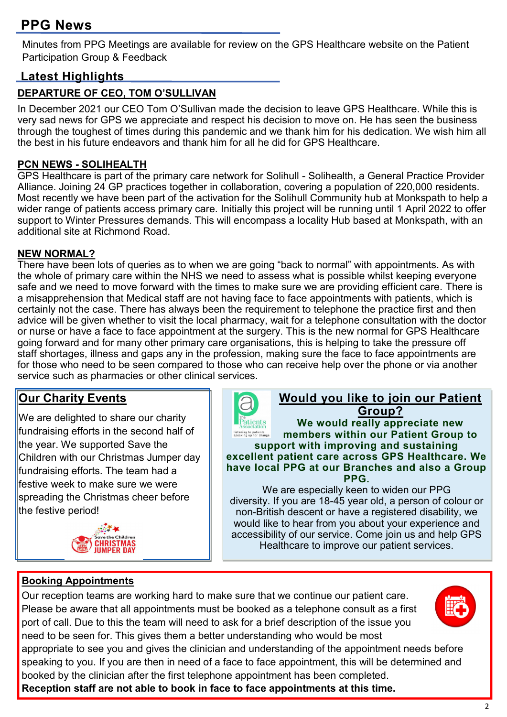# **PPG News**

Minutes from PPG Meetings are available for review on the GPS Healthcare website on the Patient Participation Group & Feedback

# **Latest Highlights**

#### **DEPARTURE OF CEO, TOM O'SULLIVAN**

In December 2021 our CEO Tom O'Sullivan made the decision to leave GPS Healthcare. While this is very sad news for GPS we appreciate and respect his decision to move on. He has seen the business through the toughest of times during this pandemic and we thank him for his dedication. We wish him all the best in his future endeavors and thank him for all he did for GPS Healthcare.

#### **PCN NEWS - SOLIHEALTH**

GPS Healthcare is part of the primary care network for Solihull - Solihealth, a General Practice Provider Alliance. Joining 24 GP practices together in collaboration, covering a population of 220,000 residents. Most recently we have been part of the activation for the Solihull Community hub at Monkspath to help a wider range of patients access primary care. Initially this project will be running until 1 April 2022 to offer support to Winter Pressures demands. This will encompass a locality Hub based at Monkspath, with an additional site at Richmond Road.

#### **NEW NORMAL?**

There have been lots of queries as to when we are going "back to normal" with appointments. As with the whole of primary care within the NHS we need to assess what is possible whilst keeping everyone safe and we need to move forward with the times to make sure we are providing efficient care. There is a misapprehension that Medical staff are not having face to face appointments with patients, which is certainly not the case. There has always been the requirement to telephone the practice first and then advice will be given whether to visit the local pharmacy, wait for a telephone consultation with the doctor or nurse or have a face to face appointment at the surgery. This is the new normal for GPS Healthcare going forward and for many other primary care organisations, this is helping to take the pressure off staff shortages, illness and gaps any in the profession, making sure the face to face appointments are for those who need to be seen compared to those who can receive help over the phone or via another service such as pharmacies or other clinical services.

## **Our Charity Events**

We are delighted to share our charity fundraising efforts in the second half of the year. We supported Save the Children with our Christmas Jumper day fundraising efforts. The team had a festive week to make sure we were spreading the Christmas cheer before the festive period!





#### **Would you like to join our Patient Group?**

**We would really appreciate new**  listening to patients<br>speaking up for change **members within our Patient Group to support with improving and sustaining excellent patient care across GPS Healthcare. We have local PPG at our Branches and also a Group PPG.** 

We are especially keen to widen our PPG diversity. If you are 18-45 year old, a person of colour or non-British descent or have a registered disability, we would like to hear from you about your experience and accessibility of our service. Come join us and help GPS Healthcare to improve our patient services.

#### **Booking Appointments**

Our reception teams are working hard to make sure that we continue our patient care. Please be aware that all appointments must be booked as a telephone consult as a first port of call. Due to this the team will need to ask for a brief description of the issue you need to be seen for. This gives them a better understanding who would be most



appropriate to see you and gives the clinician and understanding of the appointment needs before speaking to you. If you are then in need of a face to face appointment, this will be determined and booked by the clinician after the first telephone appointment has been completed.

**Reception staff are not able to book in face to face appointments at this time.**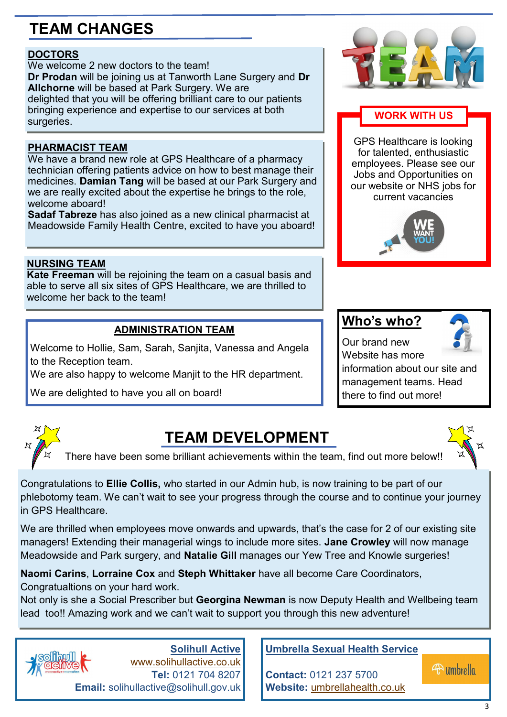# **TEAM CHANGES**

#### **DOCTORS**

We welcome 2 new doctors to the team! **Dr Prodan** will be joining us at Tanworth Lane Surgery and **Dr Allchorne** will be based at Park Surgery. We are delighted that you will be offering brilliant care to our patients bringing experience and expertise to our services at both surgeries.

#### **PHARMACIST TEAM**

We have a brand new role at GPS Healthcare of a pharmacy technician offering patients advice on how to best manage their medicines. **Damian Tang** will be based at our Park Surgery and we are really excited about the expertise he brings to the role, welcome aboard!

**Sadaf Tabreze** has also joined as a new clinical pharmacist at Meadowside Family Health Centre, excited to have you aboard!

#### **NURSING TEAM**

**Kate Freeman** will be rejoining the team on a casual basis and able to serve all six sites of GPS Healthcare, we are thrilled to welcome her back to the team!

#### **ADMINISTRATION TEAM**

Welcome to Hollie, Sam, Sarah, Sanjita, Vanessa and Angela to the Reception team.

We are also happy to welcome Manjit to the HR department.

We are delighted to have you all on board!



#### **WORK WITH US**

GPS Healthcare is looking for talented, enthusiastic employees. Please see our Jobs and Opportunities on our website or NHS jobs for current vacancies



## **Who's who?**



Our brand new Website has more

information about our site and management teams. Head there to find out more!



# **TEAM DEVELOPMENT**

There have been some brilliant achievements within the team, find out more below!!

Congratulations to **Ellie Collis,** who started in our Admin hub, is now training to be part of our phlebotomy team. We can't wait to see your progress through the course and to continue your journey in GPS Healthcare.

We are thrilled when employees move onwards and upwards, that's the case for 2 of our existing site managers! Extending their managerial wings to include more sites. **Jane Crowley** will now manage Meadowside and Park surgery, and **Natalie Gill** manages our Yew Tree and Knowle surgeries!

**Naomi Carins**, **Lorraine Cox** and **Steph Whittaker** have all become Care Coordinators, Congratualtions on your hard work.

Not only is she a Social Prescriber but **Georgina Newman** is now Deputy Health and Wellbeing team lead too!! Amazing work and we can't wait to support you through this new adventure!



**Solihull Active** [www.solihullactive.co.uk](http://www.solihullactive.co.uk) **Tel:** 0121 704 8207 **Email:** solihullactive@solihull.gov.uk

#### **Umbrella Sexual Health Service**

**Contact:** 0121 237 5700 **Website:** umbrellahealth.co.uk **4** umbrella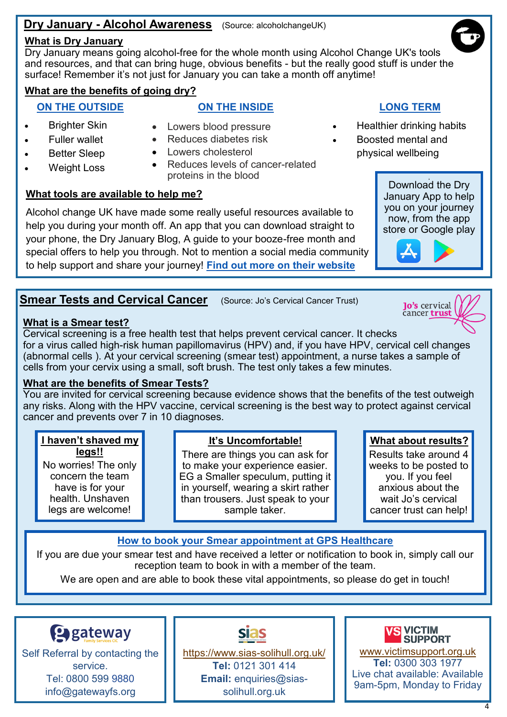#### **Dry January - Alcohol Awareness** (Source: alcoholchangeUK)

#### **What is Dry January**

Dry January means going alcohol-free for the whole month using Alcohol Change UK's tools and resources, and that can bring huge, obvious benefits - but the really good stuff is under the surface! Remember it's not just for January you can take a month off anytime!

#### **What are the benefits of going dry?**

#### **ON THE OUTSIDE**

Better Sleep

#### **ON THE INSIDE**

 Brighter Skin • Fuller wallet

Weight Loss

- Lowers blood pressure
	- Reduces diabetes risk
	- Lowers cholesterol
	- Reduces levels of cancer-related proteins in the blood

#### **What tools are available to help me?**

Alcohol change UK have made some really useful resources available to help you during your month off. An app that you can download straight to your phone, the Dry January Blog, A guide to your booze-free month and special offers to help you through. Not to mention a social media community to help support and share your journey! **[Find out more on their website](https://alcoholchange.org.uk/get-involved/campaigns/dry-january)**

#### **Smear Tests and Cervical Cancer** (Source: Jo's Cervical Cancer Trust)

#### **What is a Smear test?**

Cervical screening is a free health test that helps prevent cervical cancer. It checks for a virus called high-risk human papillomavirus (HPV) and, if you have HPV, cervical cell changes (abnormal cells ). At your cervical screening (smear test) appointment, a nurse takes a sample of cells from your cervix using a small, soft brush. The test only takes a few minutes.

#### **What are the benefits of Smear Tests?**

You are invited for cervical screening because evidence shows that the benefits of the test outweigh any risks. Along with the HPV vaccine, cervical screening is the best way to protect against cervical cancer and prevents over 7 in 10 diagnoses.

#### **.I haven't shaved my legs!!**

No worries! The only concern the team have is for your health. Unshaven legs are welcome!

#### **.It's Uncomfortable!**

There are things you can ask for to make your experience easier. EG a Smaller speculum, putting it in yourself, wearing a skirt rather than trousers. Just speak to your sample taker.

#### **.What about results?**

Results take around 4 weeks to be posted to you. If you feel anxious about the wait Jo's cervical cancer trust can help!

#### **How to book your Smear appointment at GPS Healthcare**

If you are due your smear test and have received a letter or notification to book in, simply call our reception team to book in with a member of the team.

We are open and are able to book these vital appointments, so please do get in touch!



Self Referral by contacting the service. Tel: 0800 599 9880 info@gatewayfs.org

## [https://www.sias](https://www.sias-solihull.org.uk/)-solihull.org.uk/ **Tel:** 0121 301 414 **Email:** enquiries@sias-

solihull.org.uk

#### **VS VICTIM SUPPORT**

[www.victimsupport.org.uk](http://www.victimsupport.org.uk/) **Tel:** 0300 303 1977 Live chat available: Available 9am-5pm, Monday to Friday



- Healthier drinking habits
- Boosted mental and physical wellbeing

Download the Dry January App to help you on your journey now, from the app store or Google play

**.**





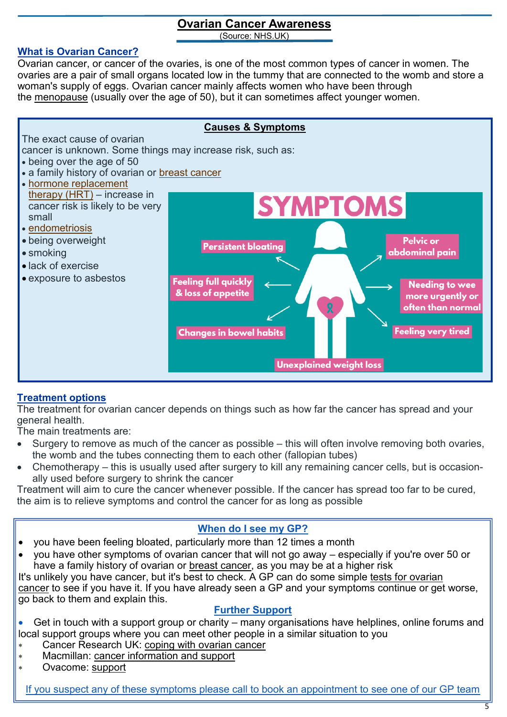# **Ovarian Cancer Awareness**

(Source: NHS.UK)

#### **What is Ovarian Cancer?**

Ovarian cancer, or cancer of the ovaries, is one of the most common types of cancer in women. The ovaries are a pair of small organs located low in the tummy that are connected to the womb and store a woman's supply of eggs. Ovarian cancer mainly affects women who have been through the [menopause](https://www.nhs.uk/conditions/menopause/) (usually over the age of 50), but it can sometimes affect younger women.



#### **Treatment options**

The treatment for ovarian cancer depends on things such as how far the cancer has spread and your general health.

The main treatments are:

- Surgery to remove as much of the cancer as possible this will often involve removing both ovaries, the womb and the tubes connecting them to each other (fallopian tubes)
- Chemotherapy this is usually used after surgery to kill any remaining cancer cells, but is occasionally used before surgery to shrink the cancer

Treatment will aim to cure the cancer whenever possible. If the cancer has spread too far to be cured, the aim is to relieve symptoms and control the cancer for as long as possible

#### **When do I see my GP?**

- you have been feeling bloated, particularly more than 12 times a month
- you have other symptoms of ovarian cancer that will not go away especially if you're over 50 or have a family history of ovarian or [breast cancer,](https://www.nhs.uk/conditions/breast-cancer/) as you may be at a higher risk

It's unlikely you have cancer, but it's best to check. A GP can do some simple [tests for ovarian](https://www.nhs.uk/conditions/ovarian-cancer/diagnosis/)  [cancer](https://www.nhs.uk/conditions/ovarian-cancer/diagnosis/) to see if you have it. If you have already seen a GP and your symptoms continue or get worse, go back to them and explain this.

#### **Further Support**

 Get in touch with a support group or charity – many organisations have helplines, online forums and local support groups where you can meet other people in a similar situation to you

- Cancer Research UK: [coping with ovarian cancer](https://www.cancerresearchuk.org/about-cancer/ovarian-cancer/living-with/coping)
- Macmillan: [cancer information and support](https://www.macmillan.org.uk/cancer-information-and-support)
- Ovacome: [support](https://www.ovacome.org.uk/support-information)

If you suspect any of these symptoms please call to book an appointment to see one of our GP team